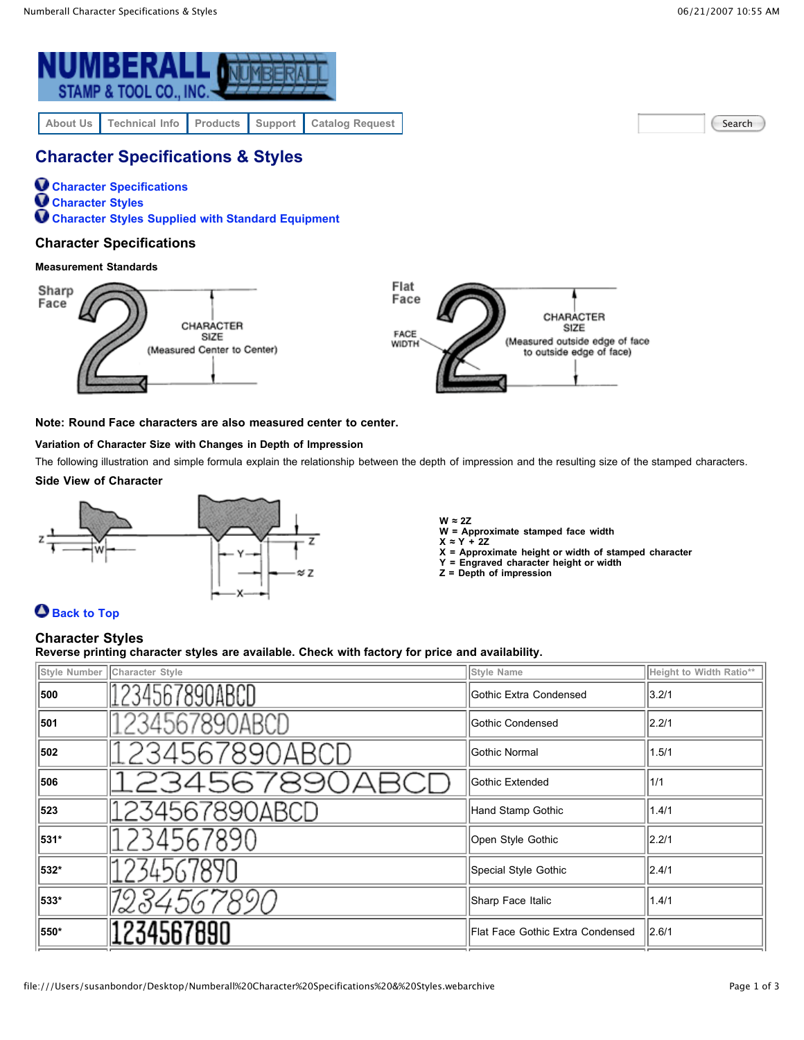

Search

# **Character Specifications & Styles**

**Character Specifications Character Styles Character Styles Supplied with Standard Equipment**

### **Character Specifications**

### **Measurement Standards**



### **Note: Round Face characters are also measured center to center.**

### **Variation of Character Size with Changes in Depth of Impression**

The following illustration and simple formula explain the relationship between the depth of impression and the resulting size of the stamped characters. **Side View of Character**

# $\approx$  7

**W ≈ 2Z**

**W = Approximate stamped face width**

- **X ≈ Y + 2Z X = Approximate height or width of stamped character**
- **Y = Engraved character height or width**
- **Z = Depth of impression**

## **Back to Top**

### **Character Styles**

**Reverse printing character styles are available. Check with factory for price and availability.**

|      | Style Number   Character Style | Style Name                       | Height to Width Ratio** |
|------|--------------------------------|----------------------------------|-------------------------|
| 500  | 1234567890ABCD                 | Gothic Extra Condensed           | 3.2/1                   |
| 501  | 234567890ABCD                  | Gothic Condensed                 | 2.2/1                   |
| 502  | 234567890ABCL                  | Gothic Normal                    | 1.5/1                   |
| 506  | 234567890AF                    | Gothic Extended                  | 1/1                     |
| 523  | 1234567890ABCD                 | Hand Stamp Gothic                | 1.4/1                   |
| 531* | 234567890                      | Open Style Gothic                | 2.2/1                   |
| 532* | 34567890                       | Special Style Gothic             | 2.4/1                   |
| 533* | 12345678                       | Sharp Face Italic                | 1.4/1                   |
| 550* | 1234567890                     | Flat Face Gothic Extra Condensed | 2.6/1                   |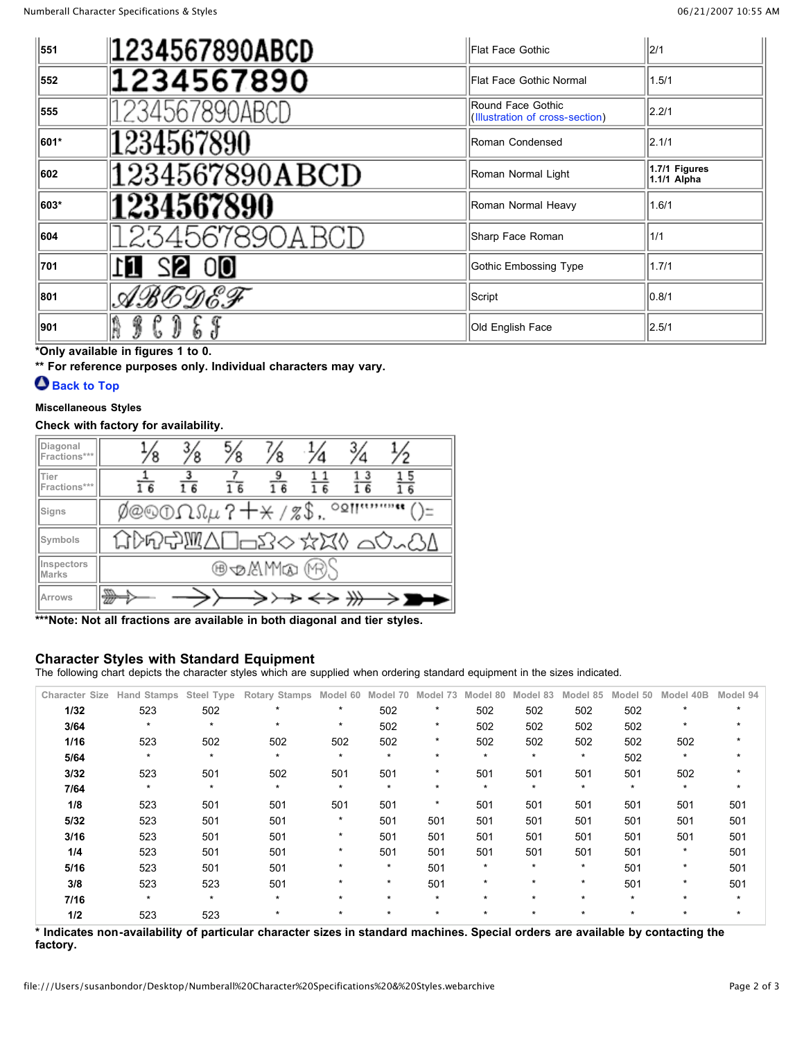| 551  | 1234567890ABCD | Flat Face Gothic                                     | 2/1                          |
|------|----------------|------------------------------------------------------|------------------------------|
| 552  | 1234567890     | Flat Face Gothic Normal                              | 1.5/1                        |
| 555  | 234567890ABCD  | Round Face Gothic<br>(Illustration of cross-section) | 2.2/1                        |
| 601* | 1234567890     | Roman Condensed                                      | 2.1/1                        |
| 602  | 1234567890ABCD | Roman Normal Light                                   | 1.7/1 Figures<br>1.1/1 Alpha |
| 603* | 1234567890     | Roman Normal Heavy                                   | 1.6/1                        |
| 604  | 234567890ABCI  | Sharp Face Roman                                     | 1/1                          |
| 701  | 00             | Gothic Embossing Type                                | 1.7/1                        |
| 801  | ヤガヒのさず         | Script                                               | 0.8/1                        |
| 901  | 3              | Old English Face                                     | 2.5/1                        |

**\*Only available in figures 1 to 0.**

**\*\* For reference purposes only. Individual characters may vary.**

# **Back to Top**

### **Miscellaneous Styles**

### **Check with factory for availability.**

| Diagonal<br>Fractions***   |                             | $^{3/8}$ | $\frac{5}{8}$   |    |  |  |                          |  |  |  |
|----------------------------|-----------------------------|----------|-----------------|----|--|--|--------------------------|--|--|--|
| Tier<br>Fractions***       | 6                           | 16       | $1\overline{6}$ | 16 |  |  | $\overline{\phantom{a}}$ |  |  |  |
| Signs                      | Ø@©OΩΩµ?+* /%\$,<br><br>○⊻ा |          |                 |    |  |  |                          |  |  |  |
| Symbols                    | GDG\$WA0=2◇☆¤0 40~81        |          |                 |    |  |  |                          |  |  |  |
| Inspectors<br><b>Marks</b> | ® oMM∞ (19)                 |          |                 |    |  |  |                          |  |  |  |
| Arrows                     | w                           |          |                 |    |  |  |                          |  |  |  |

**\*\*\*Note: Not all fractions are available in both diagonal and tier styles.**

### **Character Styles with Standard Equipment**

The following chart depicts the character styles which are supplied when ordering standard equipment in the sizes indicated.

| <b>Character Size</b> | <b>Hand Stamps</b> | Steel Type | Rotary Stamps | Model 60 | Model 70 | Model 73 | Model 80 | Model 83 | Model 85 | 50<br>Model | Model 40B | Model 94 |
|-----------------------|--------------------|------------|---------------|----------|----------|----------|----------|----------|----------|-------------|-----------|----------|
| 1/32                  | 523                | 502        | $\star$       | $\star$  | 502      | $\star$  | 502      | 502      | 502      | 502         | $\star$   | $\star$  |
| 3/64                  | $\star$            | $\star$    | $\star$       | $\star$  | 502      | $\star$  | 502      | 502      | 502      | 502         | $\star$   |          |
| 1/16                  | 523                | 502        | 502           | 502      | 502      | $\star$  | 502      | 502      | 502      | 502         | 502       |          |
| 5/64                  | $\star$            | $\star$    | $\star$       | $\star$  | $\star$  | $\star$  | $\star$  | $\star$  | $\star$  | 502         | $\star$   |          |
| 3/32                  | 523                | 501        | 502           | 501      | 501      | $\star$  | 501      | 501      | 501      | 501         | 502       |          |
| 7/64                  | $\star$            | $\star$    | $\star$       | $\star$  | $\star$  | $\star$  | $\star$  | $\star$  | $\star$  | $\star$     | $\star$   |          |
| 1/8                   | 523                | 501        | 501           | 501      | 501      | $\star$  | 501      | 501      | 501      | 501         | 501       | 501      |
| 5/32                  | 523                | 501        | 501           | $\star$  | 501      | 501      | 501      | 501      | 501      | 501         | 501       | 501      |
| 3/16                  | 523                | 501        | 501           | $\star$  | 501      | 501      | 501      | 501      | 501      | 501         | 501       | 501      |
| 1/4                   | 523                | 501        | 501           | $\star$  | 501      | 501      | 501      | 501      | 501      | 501         | $\star$   | 501      |
| 5/16                  | 523                | 501        | 501           | $\star$  | $\star$  | 501      | $\star$  | $\star$  | $\star$  | 501         | $\star$   | 501      |
| 3/8                   | 523                | 523        | 501           | $\star$  | $\star$  | 501      | $\star$  | $\star$  | $\star$  | 501         | $\star$   | 501      |
| 7/16                  | $\star$            | $\star$    | $\star$       | $\star$  | $\star$  | $\star$  | $\star$  | $\star$  | $\star$  | $\star$     | $\star$   | $\star$  |
| 1/2                   | 523                | 523        | $\star$       | $\star$  | $\star$  | $\star$  | $\star$  | $\star$  | *        | $\star$     | $\star$   |          |

\* Indicates non-availability of particular character sizes in standard machines. Special orders are available by contacting the **factory.**